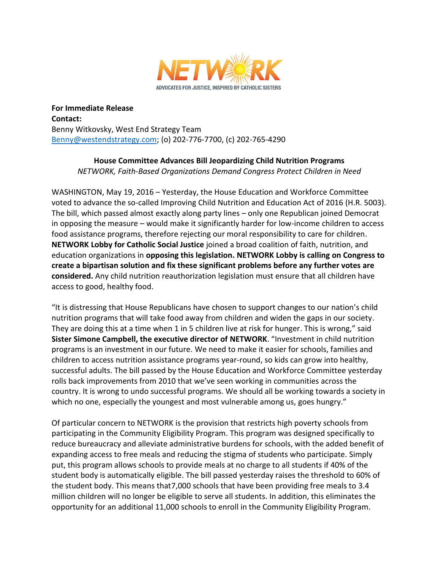

**For Immediate Release Contact:** Benny Witkovsky, West End Strategy Team [Benny@westendstrategy.com;](mailto:Benny@westendstrategy.com) (o) 202-776-7700, (c) 202-765-4290

> **House Committee Advances Bill Jeopardizing Child Nutrition Programs** *NETWORK, Faith-Based Organizations Demand Congress Protect Children in Need*

WASHINGTON, May 19, 2016 – Yesterday, the House Education and Workforce Committee voted to advance the so-called Improving Child Nutrition and Education Act of 2016 (H.R. 5003). The bill, which passed almost exactly along party lines – only one Republican joined Democrat in opposing the measure – would make it significantly harder for low-income children to access food assistance programs, therefore rejecting our moral responsibility to care for children. **NETWORK Lobby for Catholic Social Justice** joined a broad coalition of faith, nutrition, and education organizations in **opposing this legislation. NETWORK Lobby is calling on Congress to create a bipartisan solution and fix these significant problems before any further votes are considered.** Any child nutrition reauthorization legislation must ensure that all children have access to good, healthy food.

"It is distressing that House Republicans have chosen to support changes to our nation's child nutrition programs that will take food away from children and widen the gaps in our society. They are doing this at a time when 1 in 5 children live at risk for hunger. This is wrong," said **Sister Simone Campbell, the executive director of NETWORK**. "Investment in child nutrition programs is an investment in our future. We need to make it easier for schools, families and children to access nutrition assistance programs year-round, so kids can grow into healthy, successful adults. The bill passed by the House Education and Workforce Committee yesterday rolls back improvements from 2010 that we've seen working in communities across the country. It is wrong to undo successful programs. We should all be working towards a society in which no one, especially the youngest and most vulnerable among us, goes hungry."

Of particular concern to NETWORK is the provision that restricts high poverty schools from participating in the Community Eligibility Program. This program was designed specifically to reduce bureaucracy and alleviate administrative burdens for schools, with the added benefit of expanding access to free meals and reducing the stigma of students who participate. Simply put, this program allows schools to provide meals at no charge to all students if 40% of the student body is automatically eligible. The bill passed yesterday raises the threshold to 60% of the student body. This means that7,000 schools that have been providing free meals to 3.4 million children will no longer be eligible to serve all students. In addition, this eliminates the opportunity for an additional 11,000 schools to enroll in the Community Eligibility Program.